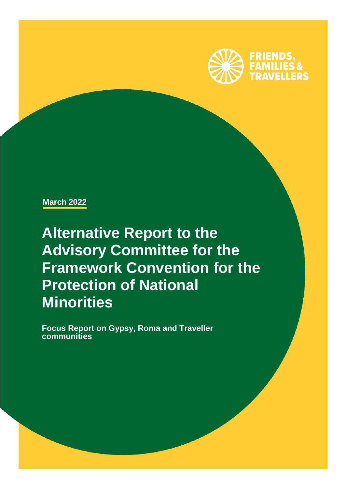

**March 2022**

**Alternative Report to the Advisory Committee for the Framework Convention for the Protection of National Minorities** 

**z Focus Report on Gypsy, Roma and Traveller communities**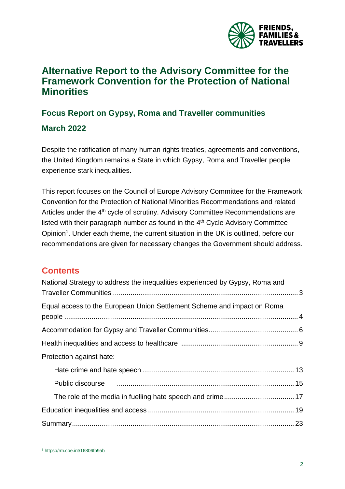

# **Alternative Report to the Advisory Committee for the Framework Convention for the Protection of National Minorities**

# **Focus Report on Gypsy, Roma and Traveller communities**

## **March 2022**

Despite the ratification of many human rights treaties, agreements and conventions, the United Kingdom remains a State in which Gypsy, Roma and Traveller people experience stark inequalities.

This report focuses on the Council of Europe Advisory Committee for the Framework Convention for the Protection of National Minorities Recommendations and related Articles under the 4<sup>th</sup> cycle of scrutiny. Advisory Committee Recommendations are listed with their paragraph number as found in the 4<sup>th</sup> Cycle Advisory Committee Opinion<sup>1</sup>. Under each theme, the current situation in the UK is outlined, before our recommendations are given for necessary changes the Government should address.

## **Contents**

| National Strategy to address the inequalities experienced by Gypsy, Roma and                               |  |
|------------------------------------------------------------------------------------------------------------|--|
| Equal access to the European Union Settlement Scheme and impact on Roma                                    |  |
|                                                                                                            |  |
|                                                                                                            |  |
| Protection against hate:                                                                                   |  |
|                                                                                                            |  |
| Public discourse manufactured and the material manufactured and the material of the Public discourse in 15 |  |
|                                                                                                            |  |
|                                                                                                            |  |
|                                                                                                            |  |

 <sup>1</sup> <https://rm.coe.int/16806fb9ab>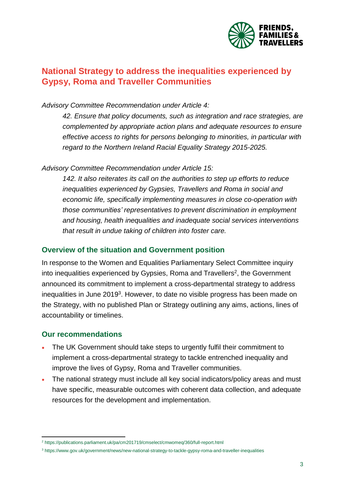

## <span id="page-2-0"></span>**National Strategy to address the inequalities experienced by Gypsy, Roma and Traveller Communities**

#### *Advisory Committee Recommendation under Article 4:*

*42. Ensure that policy documents, such as integration and race strategies, are complemented by appropriate action plans and adequate resources to ensure effective access to rights for persons belonging to minorities, in particular with regard to the Northern Ireland Racial Equality Strategy 2015-2025.*

#### *Advisory Committee Recommendation under Article 15:*

*142. It also reiterates its call on the authorities to step up efforts to reduce inequalities experienced by Gypsies, Travellers and Roma in social and economic life, specifically implementing measures in close co-operation with those communities' representatives to prevent discrimination in employment and housing, health inequalities and inadequate social services interventions that result in undue taking of children into foster care.*

#### **Overview of the situation and Government position**

In response to the Women and Equalities Parliamentary Select Committee inquiry into inequalities experienced by Gypsies, Roma and Travellers<sup>2</sup>, the Government announced its commitment to implement a cross-departmental strategy to address inequalities in June 2019<sup>3</sup>. However, to date no visible progress has been made on the Strategy, with no published Plan or Strategy outlining any aims, actions, lines of accountability or timelines.

#### **Our recommendations**

- The UK Government should take steps to urgently fulfil their commitment to implement a cross-departmental strategy to tackle entrenched inequality and improve the lives of Gypsy, Roma and Traveller communities.
- The national strategy must include all key social indicators/policy areas and must have specific, measurable outcomes with coherent data collection, and adequate resources for the development and implementation.

 $\overline{a}$ <sup>2</sup> <https://publications.parliament.uk/pa/cm201719/cmselect/cmwomeq/360/full-report.html>

<sup>3</sup> <https://www.gov.uk/government/news/new-national-strategy-to-tackle-gypsy-roma-and-traveller-inequalities>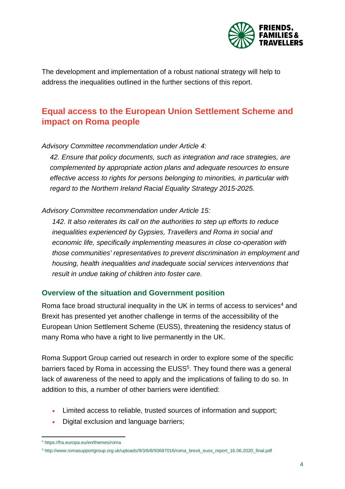

The development and implementation of a robust national strategy will help to address the inequalities outlined in the further sections of this report.

## <span id="page-3-0"></span>**Equal access to the European Union Settlement Scheme and impact on Roma people**

*Advisory Committee recommendation under Article 4:*

*42. Ensure that policy documents, such as integration and race strategies, are complemented by appropriate action plans and adequate resources to ensure effective access to rights for persons belonging to minorities, in particular with regard to the Northern Ireland Racial Equality Strategy 2015-2025.*

*Advisory Committee recommendation under Article 15:*

*142. It also reiterates its call on the authorities to step up efforts to reduce inequalities experienced by Gypsies, Travellers and Roma in social and economic life, specifically implementing measures in close co-operation with those communities' representatives to prevent discrimination in employment and housing, health inequalities and inadequate social services interventions that result in undue taking of children into foster care.*

#### **Overview of the situation and Government position**

Roma face broad structural inequality in the UK in terms of access to services<sup>4</sup> and Brexit has presented yet another challenge in terms of the accessibility of the European Union Settlement Scheme (EUSS), threatening the residency status of many Roma who have a right to live permanently in the UK.

Roma Support Group carried out research in order to explore some of the specific barriers faced by Roma in accessing the EUSS<sup>5</sup>. They found there was a general lack of awareness of the need to apply and the implications of failing to do so. In addition to this, a number of other barriers were identified:

- Limited access to reliable, trusted sources of information and support;
- Digital exclusion and language barriers;

 $\overline{a}$ <sup>4</sup> <https://fra.europa.eu/en/themes/roma>

<sup>5</sup> [http://www.romasupportgroup.org.uk/uploads/9/3/6/8/93687016/roma\\_brexit\\_euss\\_report\\_16.06.2020\\_final.pdf](http://www.romasupportgroup.org.uk/uploads/9/3/6/8/93687016/roma_brexit_euss_report_16.06.2020_final.pdf)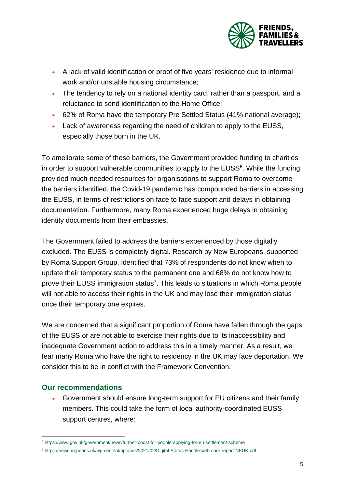

- A lack of valid identification or proof of five years' residence due to informal work and/or unstable housing circumstance;
- The tendency to rely on a national identity card, rather than a passport, and a reluctance to send identification to the Home Office;
- 62% of Roma have the temporary Pre Settled Status (41% national average);
- Lack of awareness regarding the need of children to apply to the EUSS, especially those born in the UK.

To ameliorate some of these barriers, the Government provided funding to charities in order to support vulnerable communities to apply to the EUSS<sup>6</sup>. While the funding provided much-needed resources for organisations to support Roma to overcome the barriers identified, the Covid-19 pandemic has compounded barriers in accessing the EUSS, in terms of restrictions on face to face support and delays in obtaining documentation. Furthermore, many Roma experienced huge delays in obtaining identity documents from their embassies.

The Government failed to address the barriers experienced by those digitally excluded. The EUSS is completely digital. Research by New Europeans, supported by Roma Support Group, identified that 73% of respondents do not know when to update their temporary status to the permanent one and 68% do not know how to prove their EUSS immigration status<sup>7</sup>. This leads to situations in which Roma people will not able to access their rights in the UK and may lose their immigration status once their temporary one expires.

We are concerned that a significant proportion of Roma have fallen through the gaps of the EUSS or are not able to exercise their rights due to its inaccessibility and inadequate Government action to address this in a timely manner. As a result, we fear many Roma who have the right to residency in the UK may face deportation. We consider this to be in conflict with the Framework Convention.

### **Our recommendations**

 Government should ensure long-term support for EU citizens and their family members. This could take the form of local authority-coordinated EUSS support centres, where:

 $\overline{a}$ <sup>6</sup> <https://www.gov.uk/government/news/further-boost-for-people-applying-for-eu-settlement-scheme>

<sup>7</sup> <https://neweuropeans.uk/wp-content/uploads/2021/02/Digital-Status-Handle-with-care-report-NEUK.pdf>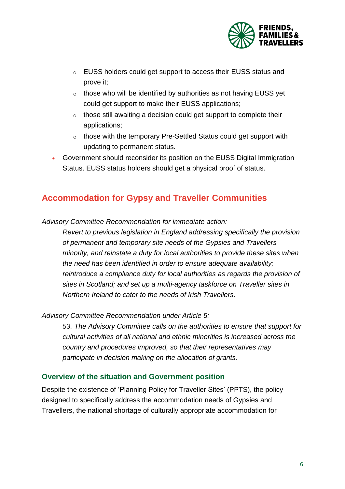

- o EUSS holders could get support to access their EUSS status and prove it;
- o those who will be identified by authorities as not having EUSS yet could get support to make their EUSS applications;
- o those still awaiting a decision could get support to complete their applications;
- o those with the temporary Pre-Settled Status could get support with updating to permanent status.
- Government should reconsider its position on the EUSS Digital Immigration Status. EUSS status holders should get a physical proof of status.

## <span id="page-5-0"></span>**Accommodation for Gypsy and Traveller Communities**

*Advisory Committee Recommendation for immediate action:*

*Revert to previous legislation in England addressing specifically the provision of permanent and temporary site needs of the Gypsies and Travellers minority, and reinstate a duty for local authorities to provide these sites when the need has been identified in order to ensure adequate availability; reintroduce a compliance duty for local authorities as regards the provision of sites in Scotland; and set up a multi-agency taskforce on Traveller sites in Northern Ireland to cater to the needs of Irish Travellers.*

#### *Advisory Committee Recommendation under Article 5:*

*53. The Advisory Committee calls on the authorities to ensure that support for cultural activities of all national and ethnic minorities is increased across the country and procedures improved, so that their representatives may participate in decision making on the allocation of grants.*

### **Overview of the situation and Government position**

Despite the existence of 'Planning Policy for Traveller Sites' (PPTS), the policy designed to specifically address the accommodation needs of Gypsies and Travellers, the national shortage of culturally appropriate accommodation for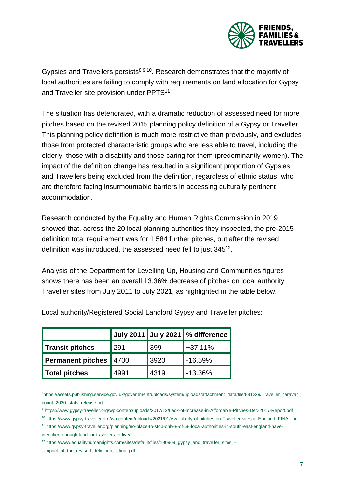

Gypsies and Travellers persists<sup>8 9 10</sup>. Research demonstrates that the majority of local authorities are failing to comply with requirements on land allocation for Gypsy and Traveller site provision under  $\mathsf{PPTS^{11}}$ .

The situation has deteriorated, with a dramatic reduction of assessed need for more pitches based on the revised 2015 planning policy definition of a Gypsy or Traveller. This planning policy definition is much more restrictive than previously, and excludes those from protected characteristic groups who are less able to travel, including the elderly, those with a disability and those caring for them (predominantly women). The impact of the definition change has resulted in a significant proportion of Gypsies and Travellers being excluded from the definition, regardless of ethnic status, who are therefore facing insurmountable barriers in accessing culturally pertinent accommodation.

Research conducted by the Equality and Human Rights Commission in 2019 showed that, across the 20 local planning authorities they inspected, the pre-2015 definition total requirement was for 1,584 further pitches, but after the revised definition was introduced, the assessed need fell to just 345<sup>12</sup>.

Analysis of the Department for Levelling Up, Housing and Communities figures shows there has been an overall 13.36% decrease of pitches on local authority Traveller sites from July 2011 to July 2021, as highlighted in the table below.

|                   |      |      | July 2011 July 2021   % difference |
|-------------------|------|------|------------------------------------|
| Transit pitches   | 291  | 399  | $+37.11%$                          |
| Permanent pitches | 4700 | 3920 | $-16.59%$                          |
| Total pitches     | 4991 | 4319 | $-13.36%$                          |

Local authority/Registered Social Landlord Gypsy and Traveller pitches:

l <sup>8</sup>[https://assets.publishing.service.gov.uk/government/uploads/system/uploads/attachment\\_data/file/891229/Traveller\\_caravan\\_](https://assets.publishing.service.gov.uk/government/uploads/system/uploads/attachment_data/file/891229/Traveller_caravan_count_2020_stats_release.pdf) [count\\_2020\\_stats\\_release.pdf](https://assets.publishing.service.gov.uk/government/uploads/system/uploads/attachment_data/file/891229/Traveller_caravan_count_2020_stats_release.pdf)

<sup>9</sup> <https://www.gypsy-traveller.org/wp-content/uploads/2017/12/Lack-of-Increase-in-Affordable-Pitches-Dec-2017-Report.pdf>

<sup>10</sup> [https://www.gypsy-traveller.org/wp-content/uploads/2021/01/Availability-of-pitches-on-Traveller-sites-in-England\\_FINAL.pdf](https://www.gypsy-traveller.org/wp-content/uploads/2021/01/Availability-of-pitches-on-Traveller-sites-in-England_FINAL.pdf)

<sup>11</sup> [https://www.gypsy-traveller.org/planning/no-place-to-stop-only-8-of-68-local-authorities-in-south-east-england-have](https://www.gypsy-traveller.org/planning/no-place-to-stop-only-8-of-68-local-authorities-in-south-east-england-have-identified-enough-land-for-travellers-to-live/)[identified-enough-land-for-travellers-to-live/](https://www.gypsy-traveller.org/planning/no-place-to-stop-only-8-of-68-local-authorities-in-south-east-england-have-identified-enough-land-for-travellers-to-live/)

<sup>12</sup> [https://www.equalityhumanrights.com/sites/default/files/190909\\_gypsy\\_and\\_traveller\\_sites\\_-](https://www.equalityhumanrights.com/sites/default/files/190909_gypsy_and_traveller_sites_-_impact_of_the_revised_definition_-_final.pdf)

[\\_impact\\_of\\_the\\_revised\\_definition\\_-\\_final.pdf](https://www.equalityhumanrights.com/sites/default/files/190909_gypsy_and_traveller_sites_-_impact_of_the_revised_definition_-_final.pdf)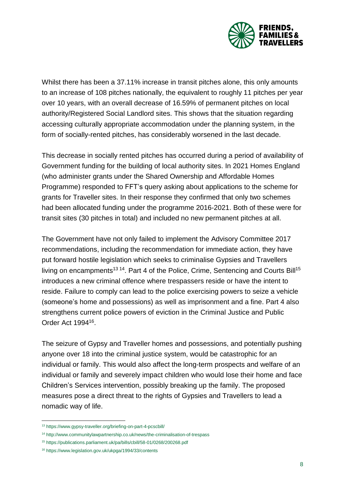

Whilst there has been a 37.11% increase in transit pitches alone, this only amounts to an increase of 108 pitches nationally, the equivalent to roughly 11 pitches per year over 10 years, with an overall decrease of 16.59% of permanent pitches on local authority/Registered Social Landlord sites. This shows that the situation regarding accessing culturally appropriate accommodation under the planning system, in the form of socially-rented pitches, has considerably worsened in the last decade.

This decrease in socially rented pitches has occurred during a period of availability of Government funding for the building of local authority sites. In 2021 Homes England (who administer grants under the Shared Ownership and Affordable Homes Programme) responded to FFT's query asking about applications to the scheme for grants for Traveller sites. In their response they confirmed that only two schemes had been allocated funding under the programme 2016-2021. Both of these were for transit sites (30 pitches in total) and included no new permanent pitches at all.

The Government have not only failed to implement the Advisory Committee 2017 recommendations, including the recommendation for immediate action, they have put forward hostile legislation which seeks to criminalise Gypsies and Travellers living on encampments<sup>13 14</sup>. Part 4 of the Police, Crime, Sentencing and Courts Bill<sup>15</sup> introduces a new criminal offence where trespassers reside or have the intent to reside. Failure to comply can lead to the police exercising powers to seize a vehicle (someone's home and possessions) as well as imprisonment and a fine. Part 4 also strengthens current police powers of eviction in the Criminal Justice and Public Order Act 1994<sup>16</sup> .

The seizure of Gypsy and Traveller homes and possessions, and potentially pushing anyone over 18 into the criminal justice system, would be catastrophic for an individual or family. This would also affect the long-term prospects and welfare of an individual or family and severely impact children who would lose their home and face Children's Services intervention, possibly breaking up the family. The proposed measures pose a direct threat to the rights of Gypsies and Travellers to lead a nomadic way of life.

l

<sup>13</sup> <https://www.gypsy-traveller.org/briefing-on-part-4-pcscbill/>

<sup>14</sup> <http://www.communitylawpartnership.co.uk/news/the-criminalisation-of-trespass>

<sup>15</sup> <https://publications.parliament.uk/pa/bills/cbill/58-01/0268/200268.pdf>

<sup>16</sup> <https://www.legislation.gov.uk/ukpga/1994/33/contents>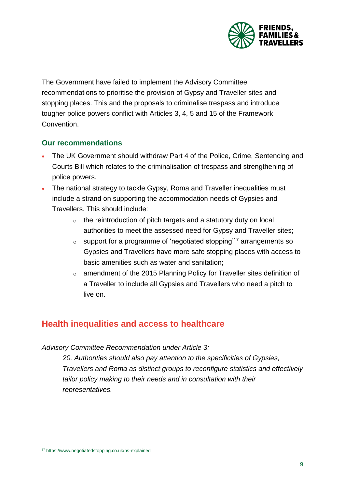

The Government have failed to implement the Advisory Committee recommendations to prioritise the provision of Gypsy and Traveller sites and stopping places. This and the proposals to criminalise trespass and introduce tougher police powers conflict with Articles 3, 4, 5 and 15 of the Framework Convention.

### **Our recommendations**

- The UK Government should withdraw Part 4 of the Police, Crime, Sentencing and Courts Bill which relates to the criminalisation of trespass and strengthening of police powers.
- The national strategy to tackle Gypsy, Roma and Traveller inequalities must include a strand on supporting the accommodation needs of Gypsies and Travellers. This should include:
	- $\circ$  the reintroduction of pitch targets and a statutory duty on local authorities to meet the assessed need for Gypsy and Traveller sites;
	- $\circ$  support for a programme of 'negotiated stopping'<sup>17</sup> arrangements so Gypsies and Travellers have more safe stopping places with access to basic amenities such as water and sanitation;
	- o amendment of the 2015 Planning Policy for Traveller sites definition of a Traveller to include all Gypsies and Travellers who need a pitch to live on.

## <span id="page-8-0"></span>**Health inequalities and access to healthcare**

#### *Advisory Committee Recommendation under Article 3:*

*20. Authorities should also pay attention to the specificities of Gypsies, Travellers and Roma as distinct groups to reconfigure statistics and effectively tailor policy making to their needs and in consultation with their representatives.*

<sup>17</sup> <https://www.negotiatedstopping.co.uk/ns-explained>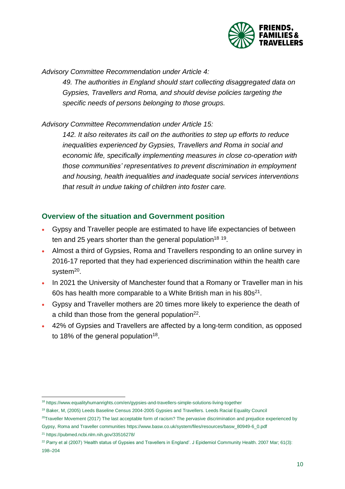

*Advisory Committee Recommendation under Article 4:*

*49. The authorities in England should start collecting disaggregated data on Gypsies, Travellers and Roma, and should devise policies targeting the specific needs of persons belonging to those groups.*

*Advisory Committee Recommendation under Article 15:*

*142. It also reiterates its call on the authorities to step up efforts to reduce inequalities experienced by Gypsies, Travellers and Roma in social and economic life, specifically implementing measures in close co-operation with those communities' representatives to prevent discrimination in employment and housing, health inequalities and inadequate social services interventions that result in undue taking of children into foster care.*

### **Overview of the situation and Government position**

- <span id="page-9-1"></span><span id="page-9-0"></span> Gypsy and Traveller people are estimated to have life expectancies of between ten and 25 years shorter than the general population<sup>18 19</sup>.
- Almost a third of Gypsies, Roma and Travellers responding to an online survey in 2016-17 reported that they had experienced discrimination within the health care system<sup>20</sup>.
- In 2021 the University of Manchester found that a Romany or Traveller man in his 60s has health more comparable to a White British man in his 80s<sup>21</sup>.
- Gypsy and Traveller mothers are 20 times more likely to experience the death of a child than those from the general population $^{22}$ .
- 42% of Gypsies and Travellers are affected by a long-term condition, as opposed to [18](#page-9-0)% of the general population<sup>18</sup>.

 $\overline{a}$ <sup>18</sup> <https://www.equalityhumanrights.com/en/gypsies-and-travellers-simple-solutions-living-together>

<sup>19</sup> Baker, M, (2005) Leeds Baseline Census 2004-2005 Gypsies and Travellers. Leeds Racial Equality Council

 $20$ Traveller Movement (2017) The last acceptable form of racism? The pervasive discrimination and prejudice experienced by

Gypsy, Roma and Traveller communitie[s https://www.basw.co.uk/system/files/resources/basw\\_80949-6\\_0.pdf](https://www.basw.co.uk/system/files/resources/basw_80949-6_0.pdf)

<sup>21</sup> <https://pubmed.ncbi.nlm.nih.gov/33516278/>

 $22$  Parry et al (2007) 'Health status of Gypsies and Travellers in England'. J Epidemiol Community Health. 2007 Mar; 61(3): 198–204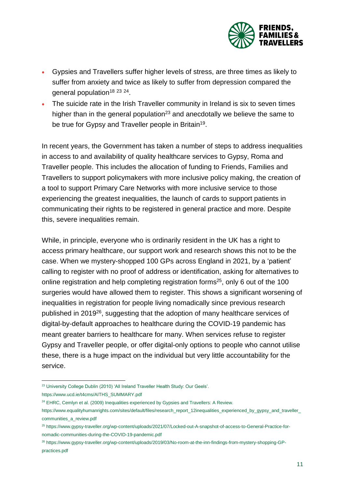

- Gypsies and Travellers suffer higher levels of stress, are three times as likely to suffer from anxiety and twice as likely to suffer from depression compared the general population<sup>[18](#page-9-0) 23 24</sup>.
- <span id="page-10-0"></span> The suicide rate in the Irish Traveller community in Ireland is six to seven times higher than in the general population<sup>[23](#page-10-0)</sup> and anecdotally we believe the same to be true for Gypsy and Traveller people in Britain<sup>[19](#page-9-1)</sup>.

In recent years, the Government has taken a number of steps to address inequalities in access to and availability of quality healthcare services to Gypsy, Roma and Traveller people. This includes the allocation of funding to Friends, Families and Travellers to support policymakers with more inclusive policy making, the creation of a tool to support Primary Care Networks with more inclusive service to those experiencing the greatest inequalities, the launch of cards to support patients in communicating their rights to be registered in general practice and more. Despite this, severe inequalities remain.

While, in principle, everyone who is ordinarily resident in the UK has a right to access primary healthcare, our support work and research shows this not to be the case. When we mystery-shopped 100 GPs across England in 2021, by a 'patient' calling to register with no proof of address or identification, asking for alternatives to online registration and help completing registration forms<sup>25</sup>, only 6 out of the 100 surgeries would have allowed them to register. This shows a significant worsening of inequalities in registration for people living nomadically since previous research published in 2019<sup>26</sup>, suggesting that the adoption of many healthcare services of digital-by-default approaches to healthcare during the COVID-19 pandemic has meant greater barriers to healthcare for many. When services refuse to register Gypsy and Traveller people, or offer digital-only options to people who cannot utilise these, there is a huge impact on the individual but very little accountability for the service.

l <sup>23</sup> University College Dublin (2010) 'All Ireland Traveller Health Study: Our Geels'.

[https://www.ucd.ie/t4cms/AITHS\\_SUMMARY.pdf](https://www.ucd.ie/t4cms/AITHS_SUMMARY.pdf)

<sup>&</sup>lt;sup>24</sup> EHRC, Cemlyn et al. (2009) Inequalities experienced by Gypsies and Travellers: A Review.

[https://www.equalityhumanrights.com/sites/default/files/research\\_report\\_12inequalities\\_experienced\\_by\\_gypsy\\_and\\_traveller\\_](https://www.equalityhumanrights.com/sites/default/files/research_report_12inequalities_experienced_by_gypsy_and_traveller_communities_a_review.pdf) [communities\\_a\\_review.pdf](https://www.equalityhumanrights.com/sites/default/files/research_report_12inequalities_experienced_by_gypsy_and_traveller_communities_a_review.pdf)

<sup>25</sup> [https://www.gypsy-traveller.org/wp-content/uploads/2021/07/Locked-out-A-snapshot-of-access-to-General-Practice-for](https://www.gypsy-traveller.org/wp-content/uploads/2021/07/Locked-out-A-snapshot-of-access-to-General-Practice-for-nomadic-communities-during-the-COVID-19-pandemic.pdf)[nomadic-communities-during-the-COVID-19-pandemic.pdf](https://www.gypsy-traveller.org/wp-content/uploads/2021/07/Locked-out-A-snapshot-of-access-to-General-Practice-for-nomadic-communities-during-the-COVID-19-pandemic.pdf)

<sup>26</sup> [https://www.gypsy-traveller.org/wp-content/uploads/2019/03/No-room-at-the-inn-findings-from-mystery-shopping-GP](https://www.gypsy-traveller.org/wp-content/uploads/2019/03/No-room-at-the-inn-findings-from-mystery-shopping-GP-practices.pdf)[practices.pdf](https://www.gypsy-traveller.org/wp-content/uploads/2019/03/No-room-at-the-inn-findings-from-mystery-shopping-GP-practices.pdf)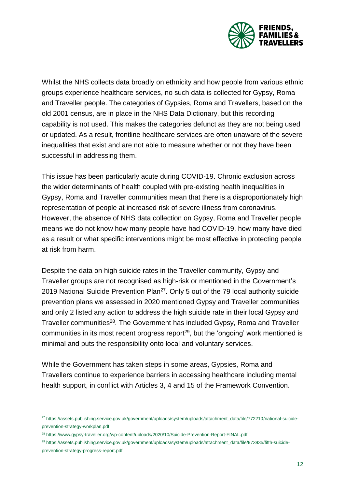

Whilst the NHS collects data broadly on ethnicity and how people from various ethnic groups experience healthcare services, no such data is collected for Gypsy, Roma and Traveller people. The categories of Gypsies, Roma and Travellers, based on the old 2001 census, are in place in the NHS Data Dictionary, but this recording capability is not used. This makes the categories defunct as they are not being used or updated. As a result, frontline healthcare services are often unaware of the severe inequalities that exist and are not able to measure whether or not they have been successful in addressing them.

This issue has been particularly acute during COVID-19. Chronic exclusion across the wider determinants of health coupled with pre-existing health inequalities in Gypsy, Roma and Traveller communities mean that there is a disproportionately high representation of people at increased risk of severe illness from coronavirus. However, the absence of NHS data collection on Gypsy, Roma and Traveller people means we do not know how many people have had COVID-19, how many have died as a result or what specific interventions might be most effective in protecting people at risk from harm.

Despite the data on high suicide rates in the Traveller community, Gypsy and Traveller groups are not recognised as high-risk or mentioned in the Government's 2019 National Suicide Prevention Plan<sup>27</sup>. Only 5 out of the 79 local authority suicide prevention plans we assessed in 2020 mentioned Gypsy and Traveller communities and only 2 listed any action to address the high suicide rate in their local Gypsy and Traveller communities<sup>28</sup>. The Government has included Gypsy, Roma and Traveller communities in its most recent progress report<sup>29</sup>, but the 'ongoing' work mentioned is minimal and puts the responsibility onto local and voluntary services.

While the Government has taken steps in some areas, Gypsies, Roma and Travellers continue to experience barriers in accessing healthcare including mental health support, in conflict with Articles 3, 4 and 15 of the Framework Convention.

l

<sup>27</sup> [https://assets.publishing.service.gov.uk/government/uploads/system/uploads/attachment\\_data/file/772210/national-suicide](https://assets.publishing.service.gov.uk/government/uploads/system/uploads/attachment_data/file/772210/national-suicide-prevention-strategy-workplan.pdf)[prevention-strategy-workplan.pdf](https://assets.publishing.service.gov.uk/government/uploads/system/uploads/attachment_data/file/772210/national-suicide-prevention-strategy-workplan.pdf)

<sup>28</sup> <https://www.gypsy-traveller.org/wp-content/uploads/2020/10/Suicide-Prevention-Report-FINAL.pdf>

<sup>&</sup>lt;sup>29</sup> [https://assets.publishing.service.gov.uk/government/uploads/system/uploads/attachment\\_data/file/973935/fifth-suicide](https://assets.publishing.service.gov.uk/government/uploads/system/uploads/attachment_data/file/973935/fifth-suicide-prevention-strategy-progress-report.pdf)[prevention-strategy-progress-report.pdf](https://assets.publishing.service.gov.uk/government/uploads/system/uploads/attachment_data/file/973935/fifth-suicide-prevention-strategy-progress-report.pdf)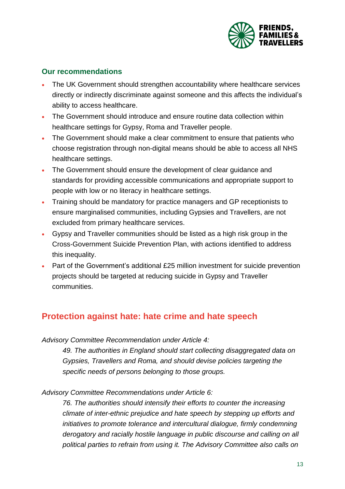

### **Our recommendations**

- The UK Government should strengthen accountability where healthcare services directly or indirectly discriminate against someone and this affects the individual's ability to access healthcare.
- The Government should introduce and ensure routine data collection within healthcare settings for Gypsy, Roma and Traveller people.
- The Government should make a clear commitment to ensure that patients who choose registration through non-digital means should be able to access all NHS healthcare settings.
- The Government should ensure the development of clear guidance and standards for providing accessible communications and appropriate support to people with low or no literacy in healthcare settings.
- Training should be mandatory for practice managers and GP receptionists to ensure marginalised communities, including Gypsies and Travellers, are not excluded from primary healthcare services.
- Gypsy and Traveller communities should be listed as a high risk group in the Cross-Government Suicide Prevention Plan, with actions identified to address this inequality.
- Part of the Government's additional £25 million investment for suicide prevention projects should be targeted at reducing suicide in Gypsy and Traveller communities.

## <span id="page-12-0"></span>**Protection against hate: hate crime and hate speech**

*Advisory Committee Recommendation under Article 4:*

*49. The authorities in England should start collecting disaggregated data on Gypsies, Travellers and Roma, and should devise policies targeting the specific needs of persons belonging to those groups.*

*Advisory Committee Recommendations under Article 6:*

*76. The authorities should intensify their efforts to counter the increasing climate of inter-ethnic prejudice and hate speech by stepping up efforts and initiatives to promote tolerance and intercultural dialogue, firmly condemning derogatory and racially hostile language in public discourse and calling on all political parties to refrain from using it. The Advisory Committee also calls on*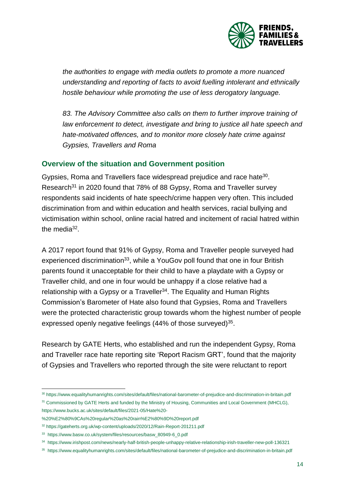

*the authorities to engage with media outlets to promote a more nuanced understanding and reporting of facts to avoid fuelling intolerant and ethnically hostile behaviour while promoting the use of less derogatory language.*

*83. The Advisory Committee also calls on them to further improve training of law enforcement to detect, investigate and bring to justice all hate speech and hate-motivated offences, and to monitor more closely hate crime against Gypsies, Travellers and Roma*

### **Overview of the situation and Government position**

Gypsies, Roma and Travellers face widespread prejudice and race hate<sup>30</sup>. Research<sup>31</sup> in 2020 found that 78% of 88 Gypsy, Roma and Traveller survey respondents said incidents of hate speech/crime happen very often. This included discrimination from and within education and health services, racial bullying and victimisation within school, online racial hatred and incitement of racial hatred within the media $32$ .

A 2017 report found that 91% of Gypsy, Roma and Traveller people surveyed had experienced discrimination<sup>33</sup>, while a YouGov poll found that one in four British parents found it unacceptable for their child to have a playdate with a Gypsy or Traveller child, and one in four would be unhappy if a close relative had a relationship with a Gypsy or a Traveller<sup>34</sup>. The Equality and Human Rights Commission's Barometer of Hate also found that Gypsies, Roma and Travellers were the protected characteristic group towards whom the highest number of people expressed openly negative feelings (44% of those surveyed)<sup>35</sup>.

Research by GATE Herts, who established and run the independent Gypsy, Roma and Traveller race hate reporting site 'Report Racism GRT', found that the majority of Gypsies and Travellers who reported through the site were reluctant to report

l <sup>30</sup> <https://www.equalityhumanrights.com/sites/default/files/national-barometer-of-prejudice-and-discrimination-in-britain.pdf>

<sup>&</sup>lt;sup>31</sup> Commissioned by GATE Herts and funded by the Ministry of Housing, Communities and Local Government (MHCLG), [https://www.bucks.ac.uk/sites/default/files/2021-05/Hate%20-](https://www.bucks.ac.uk/sites/default/files/2021-05/Hate%20-%20%E2%80%9CAs%20regular%20as%20rain%E2%80%9D%20report.pdf)

[<sup>%20%</sup>E2%80%9CAs%20regular%20as%20rain%E2%80%9D%20report.pdf](https://www.bucks.ac.uk/sites/default/files/2021-05/Hate%20-%20%E2%80%9CAs%20regular%20as%20rain%E2%80%9D%20report.pdf)

<sup>32</sup> <https://gateherts.org.uk/wp-content/uploads/2020/12/Rain-Report-201211.pdf>

<sup>33</sup> [https://www.basw.co.uk/system/files/resources/basw\\_80949-6\\_0.pdf](https://www.basw.co.uk/system/files/resources/basw_80949-6_0.pdf)

<sup>34</sup> <https://www.irishpost.com/news/nearly-half-british-people-unhappy-relative-relationship-irish-traveller-new-poll-136321>

<sup>&</sup>lt;sup>35</sup> <https://www.equalityhumanrights.com/sites/default/files/national-barometer-of-prejudice-and-discrimination-in-britain.pdf>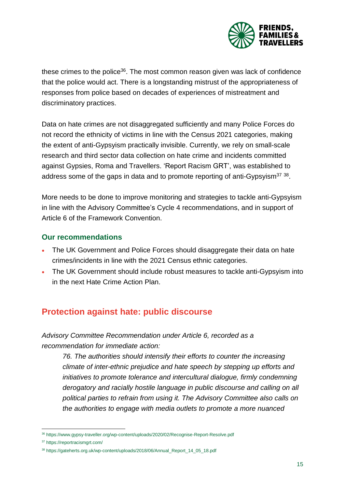

these crimes to the police<sup>36</sup>. The most common reason given was lack of confidence that the police would act. There is a longstanding mistrust of the appropriateness of responses from police based on decades of experiences of mistreatment and discriminatory practices.

Data on hate crimes are not disaggregated sufficiently and many Police Forces do not record the ethnicity of victims in line with the Census 2021 categories, making the extent of anti-Gypsyism practically invisible. Currently, we rely on small-scale research and third sector data collection on hate crime and incidents committed against Gypsies, Roma and Travellers. 'Report Racism GRT', was established to address some of the gaps in data and to promote reporting of anti-Gypsyism<sup>37</sup> <sup>38</sup>.

More needs to be done to improve monitoring and strategies to tackle anti-Gypsyism in line with the Advisory Committee's Cycle 4 recommendations, and in support of Article 6 of the Framework Convention.

### **Our recommendations**

- The UK Government and Police Forces should disaggregate their data on hate crimes/incidents in line with the 2021 Census ethnic categories.
- The UK Government should include robust measures to tackle anti-Gypsyism into in the next Hate Crime Action Plan.

## <span id="page-14-0"></span>**Protection against hate: public discourse**

*Advisory Committee Recommendation under Article 6, recorded as a recommendation for immediate action:*

*76. The authorities should intensify their efforts to counter the increasing climate of inter-ethnic prejudice and hate speech by stepping up efforts and initiatives to promote tolerance and intercultural dialogue, firmly condemning derogatory and racially hostile language in public discourse and calling on all political parties to refrain from using it. The Advisory Committee also calls on the authorities to engage with media outlets to promote a more nuanced*

l

<sup>36</sup> <https://www.gypsy-traveller.org/wp-content/uploads/2020/02/Recognise-Report-Resolve.pdf>

<sup>37</sup> <https://reportracismgrt.com/>

<sup>38</sup> [https://gateherts.org.uk/wp-content/uploads/2018/06/Annual\\_Report\\_14\\_05\\_18.pdf](https://gateherts.org.uk/wp-content/uploads/2018/06/Annual_Report_14_05_18.pdf)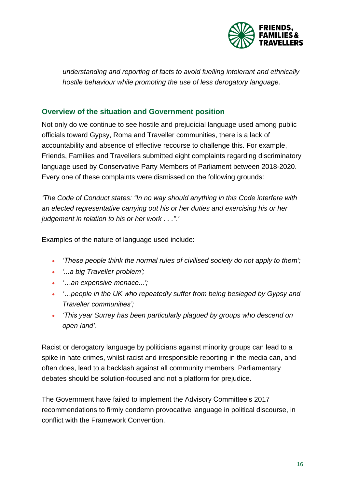

*understanding and reporting of facts to avoid fuelling intolerant and ethnically hostile behaviour while promoting the use of less derogatory language.*

### **Overview of the situation and Government position**

Not only do we continue to see hostile and prejudicial language used among public officials toward Gypsy, Roma and Traveller communities, there is a lack of accountability and absence of effective recourse to challenge this. For example, Friends, Families and Travellers submitted eight complaints regarding discriminatory language used by Conservative Party Members of Parliament between 2018-2020. Every one of these complaints were dismissed on the following grounds:

*'The Code of Conduct states: "In no way should anything in this Code interfere with an elected representative carrying out his or her duties and exercising his or her judgement in relation to his or her work . . .".'*

Examples of the nature of language used include:

- *'These people think the normal rules of civilised society do not apply to them';*
- *'...a big Traveller problem';*
- *'…an expensive menace...';*
- *'…people in the UK who repeatedly suffer from being besieged by Gypsy and Traveller communities';*
- *'This year Surrey has been particularly plagued by groups who descend on open land'.*

Racist or derogatory language by politicians against minority groups can lead to a spike in hate crimes, whilst racist and irresponsible reporting in the media can, and often does, lead to a backlash against all community members. Parliamentary debates should be solution-focused and not a platform for prejudice.

The Government have failed to implement the Advisory Committee's 2017 recommendations to firmly condemn provocative language in political discourse, in conflict with the Framework Convention.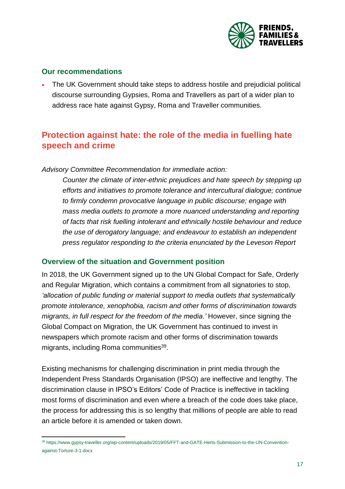

### **Our recommendations**

 The UK Government should take steps to address hostile and prejudicial political discourse surrounding Gypsies, Roma and Travellers as part of a wider plan to address race hate against Gypsy, Roma and Traveller communities.

## <span id="page-16-0"></span>**Protection against hate: the role of the media in fuelling hate speech and crime**

*Advisory Committee Recommendation for immediate action:*

*Counter the climate of inter-ethnic prejudices and hate speech by stepping up efforts and initiatives to promote tolerance and intercultural dialogue; continue to firmly condemn provocative language in public discourse; engage with mass media outlets to promote a more nuanced understanding and reporting of facts that risk fuelling intolerant and ethnically hostile behaviour and reduce the use of derogatory language; and endeavour to establish an independent press regulator responding to the criteria enunciated by the Leveson Report*

### **Overview of the situation and Government position**

In 2018, the UK Government signed up to the UN Global Compact for Safe, Orderly and Regular Migration, which contains a commitment from all signatories to stop, *'allocation of public funding or material support to media outlets that systematically promote intolerance, xenophobia, racism and other forms of discrimination towards migrants, in full respect for the freedom of the media.'* However, since signing the Global Compact on Migration, the UK Government has continued to invest in newspapers which promote racism and other forms of discrimination towards migrants, including Roma communities<sup>39</sup>.

Existing mechanisms for challenging discrimination in print media through the Independent Press Standards Organisation (IPSO) are ineffective and lengthy. The discrimination clause in IPSO's Editors' Code of Practice is ineffective in tackling most forms of discrimination and even where a breach of the code does take place, the process for addressing this is so lengthy that millions of people are able to read an article before it is amended or taken down.

 $\overline{a}$ <sup>39</sup> [https://www.gypsy-traveller.org/wp-content/uploads/2019/05/FFT-and-GATE-Herts-Submission-to-the-UN-Convention](https://www.gypsy-traveller.org/wp-content/uploads/2019/05/FFT-and-GATE-Herts-Submission-to-the-UN-Convention-against-Torture-3-1.docx)[against-Torture-3-1.docx](https://www.gypsy-traveller.org/wp-content/uploads/2019/05/FFT-and-GATE-Herts-Submission-to-the-UN-Convention-against-Torture-3-1.docx)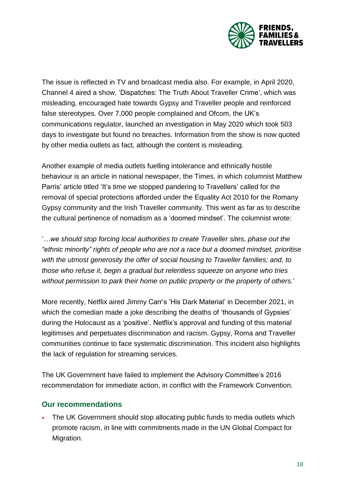

The issue is reflected in TV and broadcast media also. For example, in April 2020, Channel 4 aired a show, 'Dispatches: The Truth About Traveller Crime', which was misleading, encouraged hate towards Gypsy and Traveller people and reinforced false stereotypes. Over 7,000 people complained and Ofcom, the UK's communications regulator, launched an investigation in May 2020 which took 503 days to investigate but found no breaches. Information from the show is now quoted by other media outlets as fact, although the content is misleading.

Another example of media outlets fuelling intolerance and ethnically hostile behaviour is an article in national newspaper, the Times, in which columnist Matthew Parris' article titled 'It's time we stopped pandering to Travellers' called for the removal of special protections afforded under the Equality Act 2010 for the Romany Gypsy community and the Irish Traveller community. This went as far as to describe the cultural pertinence of nomadism as a 'doomed mindset'. The columnist wrote:

'*…we should stop forcing local authorities to create Traveller sites, phase out the "ethnic minority" rights of people who are not a race but a doomed mindset, prioritise with the utmost generosity the offer of social housing to Traveller families; and, to those who refuse it, begin a gradual but relentless squeeze on anyone who tries without permission to park their home on public property or the property of others.*'

More recently, Netflix aired Jimmy Carr's 'His Dark Material' in December 2021, in which the comedian made a joke describing the deaths of 'thousands of Gypsies' during the Holocaust as a 'positive'. Netflix's approval and funding of this material legitimises and perpetuates discrimination and racism. Gypsy, Roma and Traveller communities continue to face systematic discrimination. This incident also highlights the lack of regulation for streaming services.

The UK Government have failed to implement the Advisory Committee's 2016 recommendation for immediate action, in conflict with the Framework Convention.

### **Our recommendations**

• The UK Government should stop allocating public funds to media outlets which promote racism, in line with commitments made in the UN Global Compact for Migration.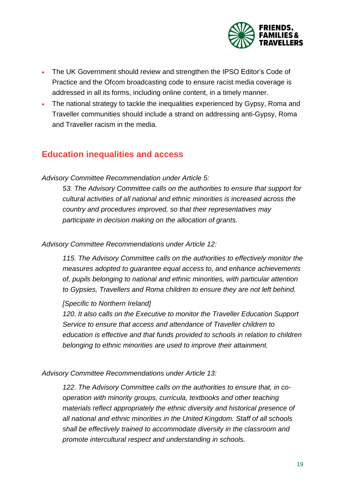

- The UK Government should review and strengthen the IPSO Editor's Code of Practice and the Ofcom broadcasting code to ensure racist media coverage is addressed in all its forms, including online content, in a timely manner.
- The national strategy to tackle the inequalities experienced by Gypsy, Roma and Traveller communities should include a strand on addressing anti-Gypsy, Roma and Traveller racism in the media.

## <span id="page-18-0"></span>**Education inequalities and access**

#### *Advisory Committee Recommendation under Article 5:*

*53. The Advisory Committee calls on the authorities to ensure that support for cultural activities of all national and ethnic minorities is increased across the country and procedures improved, so that their representatives may participate in decision making on the allocation of grants.*

#### *Advisory Committee Recommendations under Article 12:*

*115. The Advisory Committee calls on the authorities to effectively monitor the measures adopted to guarantee equal access to, and enhance achievements of, pupils belonging to national and ethnic minorities, with particular attention to Gypsies, Travellers and Roma children to ensure they are not left behind.*

#### *[Specific to Northern Ireland]*

*120. It also calls on the Executive to monitor the Traveller Education Support Service to ensure that access and attendance of Traveller children to education is effective and that funds provided to schools in relation to children belonging to ethnic minorities are used to improve their attainment.*

#### *Advisory Committee Recommendations under Article 13:*

*122. The Advisory Committee calls on the authorities to ensure that, in cooperation with minority groups, curricula, textbooks and other teaching materials reflect appropriately the ethnic diversity and historical presence of all national and ethnic minorities in the United Kingdom. Staff of all schools shall be effectively trained to accommodate diversity in the classroom and promote intercultural respect and understanding in schools.*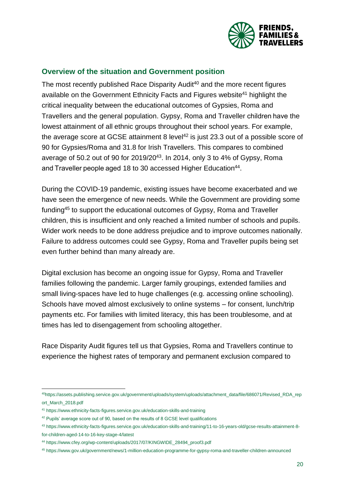

### **Overview of the situation and Government position**

The most recently published Race Disparity Audit<sup>40</sup> and the more recent figures available on the Government Ethnicity Facts and Figures website<sup>41</sup> highlight the critical inequality between the educational outcomes of Gypsies, Roma and Travellers and the general population. Gypsy, Roma and Traveller children have the lowest attainment of all ethnic groups throughout their school years. For example, the average score at GCSE attainment 8 level<sup>42</sup> is just 23.3 out of a possible score of 90 for Gypsies/Roma and 31.8 for Irish Travellers. This compares to combined average of 50.2 out of 90 for 2019/20<sup>43</sup>. In 2014, only 3 to 4% of Gypsy, Roma and Traveller people aged 18 to 30 accessed Higher Education<sup>44</sup>.

During the COVID-19 pandemic, existing issues have become exacerbated and we have seen the emergence of new needs. While the Government are providing some funding<sup>45</sup> to support the educational outcomes of Gypsy, Roma and Traveller children, this is insufficient and only reached a limited number of schools and pupils. Wider work needs to be done address prejudice and to improve outcomes nationally. Failure to address outcomes could see Gypsy, Roma and Traveller pupils being set even further behind than many already are.

Digital exclusion has become an ongoing issue for Gypsy, Roma and Traveller families following the pandemic. Larger family groupings, extended families and small living-spaces have led to huge challenges (e.g. accessing online schooling). Schools have moved almost exclusively to online systems – for consent, lunch/trip payments etc. For families with limited literacy, this has been troublesome, and at times has led to disengagement from schooling altogether.

Race Disparity Audit figures tell us that Gypsies, Roma and Travellers continue to experience the highest rates of temporary and permanent exclusion compared to

l <sup>40</sup>[https://assets.publishing.service.gov.uk/government/uploads/system/uploads/attachment\\_data/file/686071/Revised\\_RDA\\_rep](https://assets.publishing.service.gov.uk/government/uploads/system/uploads/attachment_data/file/686071/Revised_RDA_report_March_2018.pdf) [ort\\_March\\_2018.pdf](https://assets.publishing.service.gov.uk/government/uploads/system/uploads/attachment_data/file/686071/Revised_RDA_report_March_2018.pdf)

<sup>41</sup> <https://www.ethnicity-facts-figures.service.gov.uk/education-skills-and-training>

<sup>&</sup>lt;sup>42</sup> Pupils' average score out of 90, based on the results of 8 GCSE level qualifications

<sup>43</sup> [https://www.ethnicity-facts-figures.service.gov.uk/education-skills-and-training/11-to-16-years-old/gcse-results-attainment-8](https://www.ethnicity-facts-figures.service.gov.uk/education-skills-and-training/11-to-16-years-old/gcse-results-attainment-8-for-children-aged-14-to-16-key-stage-4/latest) [for-children-aged-14-to-16-key-stage-4/latest](https://www.ethnicity-facts-figures.service.gov.uk/education-skills-and-training/11-to-16-years-old/gcse-results-attainment-8-for-children-aged-14-to-16-key-stage-4/latest)

<sup>44</sup> [https://www.cfey.org/wp-content/uploads/2017/07/KINGWIDE\\_28494\\_proof3.pdf](https://www.cfey.org/wp-content/uploads/2017/07/KINGWIDE_28494_proof3.pdf)

<sup>45</sup> <https://www.gov.uk/government/news/1-million-education-programme-for-gypsy-roma-and-traveller-children-announced>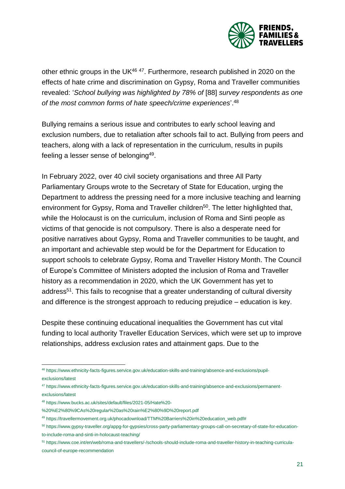

other ethnic groups in the UK<sup>46 47</sup>. Furthermore, research published in 2020 on the effects of hate crime and discrimination on Gypsy, Roma and Traveller communities revealed: '*School bullying was highlighted by 78% of* [88] *survey respondents as one of the most common forms of hate speech/crime experiences*'. 48

Bullying remains a serious issue and contributes to early school leaving and exclusion numbers, due to retaliation after schools fail to act. Bullying from peers and teachers, along with a lack of representation in the curriculum, results in pupils feeling a lesser sense of belonging<sup>49</sup>.

In February 2022, over 40 civil society organisations and three All Party Parliamentary Groups wrote to the Secretary of State for Education, urging the Department to address the pressing need for a more inclusive teaching and learning environment for Gypsy, Roma and Traveller children<sup>50</sup>. The letter highlighted that, while the Holocaust is on the curriculum, inclusion of Roma and Sinti people as victims of that genocide is not compulsory. There is also a desperate need for positive narratives about Gypsy, Roma and Traveller communities to be taught, and an important and achievable step would be for the Department for Education to support schools to celebrate Gypsy, Roma and Traveller History Month. The Council of Europe's Committee of Ministers adopted the inclusion of Roma and Traveller history as a recommendation in 2020, which the UK Government has yet to address<sup>51</sup>. This fails to recognise that a greater understanding of cultural diversity and difference is the strongest approach to reducing prejudice – education is key.

Despite these continuing educational inequalities the Government has cut vital funding to local authority Traveller Education Services, which were set up to improve relationships, address exclusion rates and attainment gaps. Due to the

 $\overline{a}$ <sup>46</sup> [https://www.ethnicity-facts-figures.service.gov.uk/education-skills-and-training/absence-and-exclusions/pupil](https://www.ethnicity-facts-figures.service.gov.uk/education-skills-and-training/absence-and-exclusions/pupil-exclusions/latest)[exclusions/latest](https://www.ethnicity-facts-figures.service.gov.uk/education-skills-and-training/absence-and-exclusions/pupil-exclusions/latest)

<sup>47</sup> [https://www.ethnicity-facts-figures.service.gov.uk/education-skills-and-training/absence-and-exclusions/permanent](https://www.ethnicity-facts-figures.service.gov.uk/education-skills-and-training/absence-and-exclusions/permanent-exclusions/latest)[exclusions/latest](https://www.ethnicity-facts-figures.service.gov.uk/education-skills-and-training/absence-and-exclusions/permanent-exclusions/latest)

<sup>48</sup> [https://www.bucks.ac.uk/sites/default/files/2021-05/Hate%20-](https://www.bucks.ac.uk/sites/default/files/2021-05/Hate%20-%20%E2%80%9CAs%20regular%20as%20rain%E2%80%9D%20report.pdf)

[<sup>%20%</sup>E2%80%9CAs%20regular%20as%20rain%E2%80%9D%20report.pdf](https://www.bucks.ac.uk/sites/default/files/2021-05/Hate%20-%20%E2%80%9CAs%20regular%20as%20rain%E2%80%9D%20report.pdf)

<sup>49</sup> [https://travellermovement.org.uk/phocadownload/TTM%20Barriers%20in%20education\\_web.pdf#](https://travellermovement.org.uk/phocadownload/TTM%20Barriers%20in%20education_web.pdf)

<sup>50</sup> [https://www.gypsy-traveller.org/appg-for-gypsies/cross-party-parliamentary-groups-call-on-secretary-of-state-for-education](https://www.gypsy-traveller.org/appg-for-gypsies/cross-party-parliamentary-groups-call-on-secretary-of-state-for-education-to-include-roma-and-sinti-in-holocaust-teaching/)[to-include-roma-and-sinti-in-holocaust-teaching/](https://www.gypsy-traveller.org/appg-for-gypsies/cross-party-parliamentary-groups-call-on-secretary-of-state-for-education-to-include-roma-and-sinti-in-holocaust-teaching/)

<sup>51</sup> [https://www.coe.int/en/web/roma-and-travellers/-/schools-should-include-roma-and-traveller-history-in-teaching-curricula](https://www.coe.int/en/web/roma-and-travellers/-/schools-should-include-roma-and-traveller-history-in-teaching-curricula-council-of-europe-recommendation)[council-of-europe-recommendation](https://www.coe.int/en/web/roma-and-travellers/-/schools-should-include-roma-and-traveller-history-in-teaching-curricula-council-of-europe-recommendation)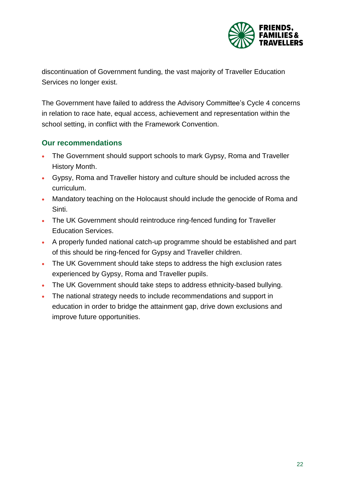

discontinuation of Government funding, the vast majority of Traveller Education Services no longer exist.

The Government have failed to address the Advisory Committee's Cycle 4 concerns in relation to race hate, equal access, achievement and representation within the school setting, in conflict with the Framework Convention.

### **Our recommendations**

- The Government should support schools to mark Gypsy, Roma and Traveller History Month.
- Gypsy, Roma and Traveller history and culture should be included across the curriculum.
- Mandatory teaching on the Holocaust should include the genocide of Roma and Sinti.
- The UK Government should reintroduce ring-fenced funding for Traveller Education Services.
- A properly funded national catch-up programme should be established and part of this should be ring-fenced for Gypsy and Traveller children.
- The UK Government should take steps to address the high exclusion rates experienced by Gypsy, Roma and Traveller pupils.
- The UK Government should take steps to address ethnicity-based bullying.
- The national strategy needs to include recommendations and support in education in order to bridge the attainment gap, drive down exclusions and improve future opportunities.